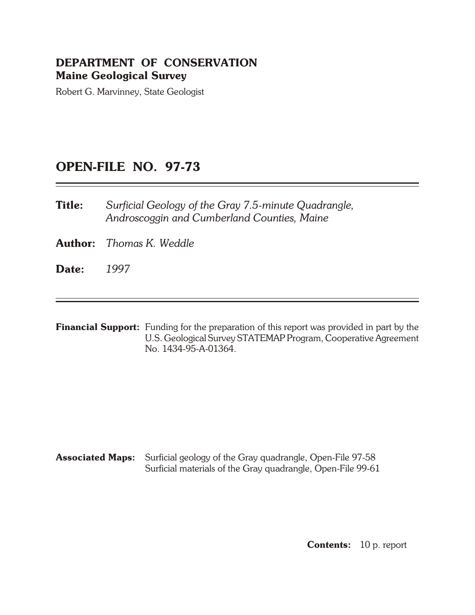# **DEPARTMENT OF CONSERVATION Maine Geological Survey**

Robert G. Marvinney, State Geologist

# **OPEN- FILE NO. 97-73**

**Title:** Surficial Geology of the Gray 7.5-minute Quadrangle, *An droscog gin and Cum ber land Coun ties, Maine*

**Author:** *Thomas K. Weddle* 

**Date:** *1997*

**Financial Support:** Funding for the preparation of this report was provided in part by the U.S. Geological Survey STATEMAP Program, Cooperative Agreement No. 1434-95-A-01364.

**Associated Maps:** Surficial geology of the Gray quadrangle, Open-File 97-58 Surficial materials of the Gray quadrangle, Open-File 99-61

**Contents:** 10 p. report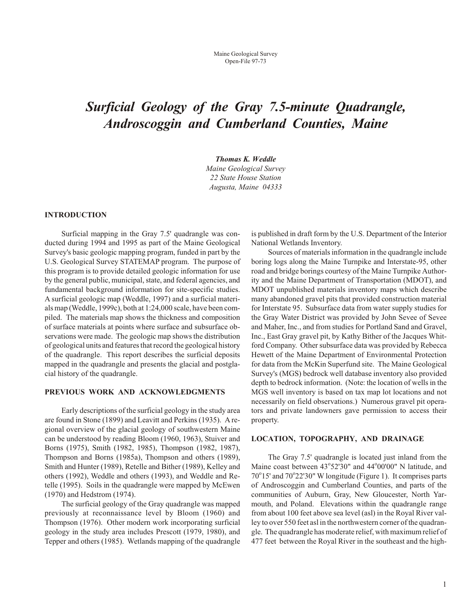# *Surficial Geology of the Gray 7.5-minute Quadrangle, An droscog gin and Cum ber land Coun ties, Maine*

**Thomas K. Weddle** 

*Maine Geo logi cal Sur vey 22 State House Sta tion Augusta, Maine 04333*

## **INTRODUCTION**

Surficial mapping in the Gray 7.5' quadrangle was conducted during 1994 and 1995 as part of the Maine Geological Survey's basic geologic mapping program, funded in part by the U.S. Geological Survey STATEMAP program. The purpose of this program is to provide detailed geologic information for use by the general public, municipal, state, and federal agencies, and fundamental background information for site-specific studies. A surficial geologic map (Weddle, 1997) and a surficial materials map (Weddle, 1999c), both at 1:24,000 scale, have been compiled. The materials map shows the thickness and composition of surface materials at points where surface and subsurface observations were made. The geologic map shows the distribution of geological units and features that record the geological history of the quadrangle. This report describes the surficial deposits mapped in the quadrangle and presents the glacial and postglacial history of the quadrangle.

# **PREVIOUS WORK AND ACKNOWLEDGMENTS**

Early descriptions of the surficial geology in the study area are found in Stone (1899) and Leavitt and Perkins (1935). A re gional overview of the glacial geology of south western Maine can be understood by reading Bloom (1960, 1963), Stuiver and Borns (1975), Smith (1982, 1985), Thompson (1982, 1987), Thompson and Borns (1985a), Thompson and others (1989), Smith and Hunter (1989), Retelle and Bither (1989), Kelley and others (1992), Weddle and others (1993), and Weddle and Retelle (1995). Soils in the quadrangle were mapped by McEwen (1970) and Hedstrom (1974).

The surficial geology of the Gray quadrangle was mapped previously at reconnaissance level by Bloom (1960) and Thompson (1976). Other modern work incorporating surficial geology in the study area includes Prescott (1979, 1980), and Tepper and others (1985). Wetlands mapping of the quadrangle is published in draft form by the U.S. Department of the Interior National Wetlands Inventory.

Sources of materials information in the quadrangle include boring logs along the Maine Turnpike and Interstate-95, other road and bridge borings courtesy of the Maine Turnpike Authority and the Maine Department of Transportation (MDOT), and MDOT unpublished materials inventory maps which describe many abandoned gravel pits that provided construction material for Interstate 95. Subsurface data from water supply studies for the Gray Water District was provided by John Sevee of Sevee and Maher, Inc., and from studies for Portland Sand and Gravel, Inc., East Gray gravel pit, by Kathy Bither of the Jacques Whitford Company. Other subsurface data was provided by Rebecca Hewett of the Maine Department of Environmental Protection for data from the McKin Superfund site. The Maine Geological Survey's (MGS) bedrock well database inventory also provided depth to bedrock information. (Note: the location of wells in the MGS well inventory is based on tax map lot locations and not necessarily on field observations.) Numerous gravel pit operators and private landowners gave permission to access their property.

## **LOCATION, TOPOGRAPHY, AND DRAINAGE**

The Gray 7.5' quadrangle is located just inland from the Maine coast between 43°52'30" and 44°00'00" N latitude, and 70°15' and 70°22'30" W longitude (Figure 1). It comprises parts of Androscoggin and Cumberland Counties, and parts of the communities of Auburn, Gray, New Gloucester, North Yarmouth, and Poland. Elevations within the quadrangle range from about 100 feet above sea level (asl) in the Royal River val ley to over 550 feet asl in the northwestern corner of the quadrangle. The quadrangle has moderate relief, with maximum relief of 477 feet between the Royal River in the south east and the high-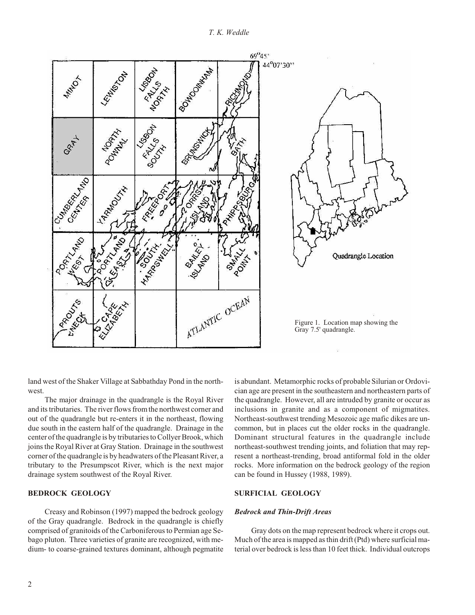

land west of the Shaker Village at Sabbathday Pond in the northwest.

The major drainage in the quadrangle is the Royal River and its tributaries. The river flows from the northwest corner and out of the quadrangle but re-enters it in the northeast, flowing due south in the eastern half of the quadrangle. Drainage in the center of the quadrangle is by tributaries to Collyer Brook, which joins the Royal River at Gray Station. Drainage in the southwest corner of the quadrangle is by headwaters of the Pleasant River, a tributary to the Presumpscot River, which is the next major drainage system southwest of the Royal River.

# **BEDROCK GEOLOGY**

Creasy and Robinson (1997) mapped the bedrock geology of the Gray quadrangle. Bedrock in the quadrangle is chiefly comprised of granitoids of the Carboniferous to Permian age Sebago pluton. Three varieties of granite are recognized, with medium- to coarse-grained textures dominant, although pegmatite is abundant. Metamorphic rocks of probable Silurian or Ordovician age are present in the south eastern and north eastern parts of the quadrangle. However, all are intruded by granite or occur as inclusions in granite and as a component of migmatites. Northeast-southwest trending Mesozoic age mafic dikes are uncommon, but in places cut the older rocks in the quadrangle. Dominant structural features in the quadrangle include northeast-southwest trending joints, and foliation that may represent a northeast-trending, broad antiformal fold in the older rocks. More information on the bedrock geology of the region can be found in Hussey (1988, 1989).

# **SURFICIAL GEOLOGY**

#### **Bedrock and Thin-Drift Areas**

Gray dots on the map represent bedrock where it crops out. Much of the area is mapped as thin drift (Ptd) where surficial material over bedrock is less than 10 feet thick. Individual outcrops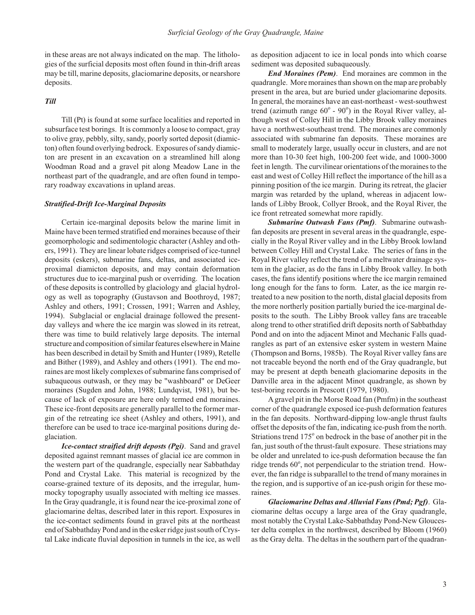in these areas are not always indicated on the map. The lithologies of the surficial deposits most often found in thin-drift areas may be till, marine deposits, glaciomarine deposits, or nearshore deposits.

# *Till*

Till (Pt) is found at some surface localities and reported in subsurface test borings. It is commonly a loose to compact, gray to olive gray, pebbly, silty, sandy, poorly sorted deposit (diamicton) often found overlying bedrock. Exposures of sandy diamicton are present in an excavation on a streamlined hill along Woodman Road and a gravel pit along Meadow Lane in the northeast part of the quadrangle, and are often found in temporary roadway excavations in upland areas.

#### **Stratified-Drift Ice-Marginal Deposits**

Certain ice-marginal deposits below the marine limit in Maine have been termed stratified end moraines because of their geomorphologic and sedimentologic character (Ashley and others, 1991). They are linear lobate ridges comprised of ice-tunnel deposits (eskers), submarine fans, deltas, and associated iceproximal diamicton deposits, and may contain deformation structures due to ice-marginal push or overriding. The location of these deposits is controlled by glaciology and glacial hydrology as well as topography (Gustavson and Boothroyd, 1987; Ashley and others, 1991; Crossen, 1991; Warren and Ashley, 1994). Subglacial or englacial drainage followed the presentday valleys and where the ice margin was slowed in its retreat, there was time to build relatively large deposits. The internal structure and composition of similar features elsewhere in Maine has been described in detail by Smith and Hunter (1989), Retelle and Bither (1989), and Ashley and others (1991). The end moraines are most likely complexes of submarine fans comprised of subaqueous outwash, or they may be "washboard" or DeGeer moraines (Sugden and John, 1988; Lundqvist, 1981), but because of lack of exposure are here only termed end moraines. These ice-front deposits are generally parallel to the former margin of the retreating ice sheet (Ashley and others, 1991), and therefore can be used to trace ice-marginal positions during deglaciation.

*Ice-contact straified drift deposts (Pgi)*. Sand and gravel deposited against remnant masses of glacial ice are common in the western part of the quadrangle, especially near Sabbathday Pond and Crystal Lake. This material is recognized by the coarse-grained texture of its deposits, and the irregular, hummocky to pography usually associated with melting ice masses. In the Gray quadrangle, it is found near the ice-proximal zone of glaciomarine deltas, described later in this report. Exposures in the ice-contact sediments found in gravel pits at the northeast end of Sabbathday Pond and in the esker ridge just south of Crystal Lake indicate fluvial deposition in tunnels in the ice, as well as deposition adjacent to ice in local ponds into which coarse sediment was deposited subaqueously.

*End Moraines (Pem)*. End moraines are common in the quadrangle. More moraines than shown on the map are probably present in the area, but are buried under glaciomarine deposits. In general, the moraines have an east-northeast - west-southwest trend (azimuth range  $60^{\circ}$  -  $90^{\circ}$ ) in the Royal River valley, although west of Colley Hill in the Libby Brook valley moraines have a northwest-southeast trend. The moraines are commonly associated with submarine fan deposits. These moraines are small to moderately large, usually occur in clusters, and are not more than 10-30 feet high, 100-200 feet wide, and 1000-3000 feet in length. The curvilinear orientations of the moraines to the east and west of Colley Hill reflect the importance of the hill as a pinning position of the ice margin. During its retreat, the glacier margin was retarded by the upland, whereas in adjacent lowlands of Libby Brook, Collyer Brook, and the Royal River, the ice front retreated somewhat more rapidly.

**Submarine Outwash Fans (Pmf)**. Submarine outwashfan deposits are present in several areas in the quadrangle, especially in the Royal River valley and in the Libby Brook lowland between Colley Hill and Crystal Lake. The series of fans in the Royal River valley reflect the trend of a meltwater drainage system in the glacier, as do the fans in Libby Brook valley. In both cases, the fans identify positions where the ice margin remained long enough for the fans to form. Later, as the ice margin retreated to a new position to the north, distal glacial deposits from the more northerly position partially buried the ice-marginal deposits to the south. The Libby Brook valley fans are traceable along trend to other stratified drift deposits north of Sabbathday Pond and on into the adjacent Minot and Mechanic Falls quadrangles as part of an extensive esker system in western Maine (Thompson and Borns, 1985b). The Royal River valley fans are not traceable beyond the north end of the Gray quadrangle, but may be present at depth beneath glaciomarine deposits in the Danville area in the adjacent Minot quadrangle, as shown by test-boring records in Prescott (1979, 1980).

A gravel pit in the Morse Road fan (Pmfm) in the southeast corner of the quadrangle exposed ice-push deformation features in the fan deposits. Northward-dipping low-angle thrust faults offset the deposits of the fan, indicating ice-push from the north. Striations trend 175° on bedrock in the base of another pit in the fan, just south of the thrust-fault exposure. These striations may be older and unrelated to ice-push deformation because the fan ridge trends 60°, not perpendicular to the striation trend. However, the fan ridge is subparallel to the trend of many moraines in the region, and is supportive of an ice-push origin for these moraines.

*Glaciomarine Deltas and Alluvial Fans (Pmd; Pgf). Gla*ciomarine deltas occupy a large area of the Gray quadrangle, most notably the Crystal Lake-Sabbathday Pond-New Gloucester delta complex in the northwest, described by Bloom (1960) as the Gray delta. The deltas in the southern part of the quadran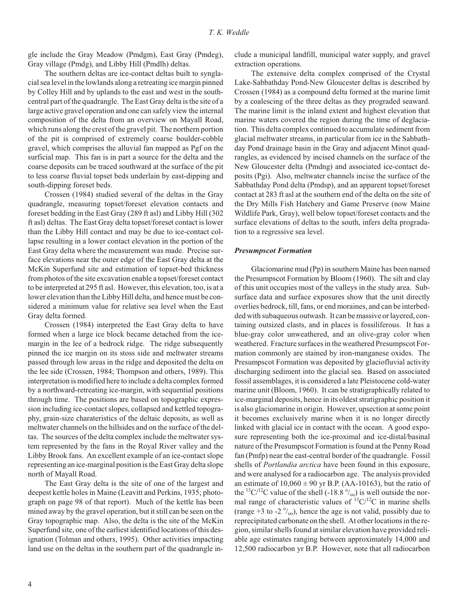gle include the Gray Meadow (Pmdgm), East Gray (Pmdeg), Gray village (Pmdg), and Libby Hill (Pmdlh) deltas.

The southern deltas are ice-contact deltas built to synglacial sea level in the low lands along a retreating ice margin pinned by Colley Hill and by uplands to the east and west in the southcentral part of the quadrangle. The East Gray delta is the site of a large active gravel operation and one can safely view the internal composition of the delta from an overview on Mayall Road, which runs along the crest of the gravel pit. The northern portion of the pit is comprised of ex tremely coarse boulder- cobble gravel, which comprises the alluvial fan mapped as Pgf on the surficial map. This fan is in part a source for the delta and the coarse deposits can be traced southward at the surface of the pit to less coarse fluvial topset beds underlain by east-dipping and south-dipping foreset beds.

Crossen (1984) studied several of the deltas in the Gray quadrangle, measuring topset/foreset elevation contacts and foreset bedding in the East Gray (289 ft asl) and Libby Hill (302 ft asl) deltas. The East Gray delta topset/foreset contact is lower than the Libby Hill contact and may be due to ice-contact collapse resulting in a lower contact elevation in the portion of the East Gray delta where the measurement was made. Precise surface elevations near the outer edge of the East Gray delta at the McKin Superfund site and estimation of topset-bed thickness from photos of the site excavation enable a topset/foreset contact to be interpreted at 295 ft asl. However, this elevation, too, is at a lower elevation than the Libby Hill delta, and hence must be considered a minimum value for relative sea level when the East Gray delta formed.

Crossen (1984) interpreted the East Gray delta to have formed when a large ice block became detached from the icemargin in the lee of a bedrock ridge. The ridge subsequently pinned the ice margin on its stoss side and meltwater streams passed through low areas in the ridge and deposited the delta on the lee side (Crossen, 1984; Thompson and others, 1989). This interpretation is modified here to include a delta complex formed by a northward-retreating ice-margin, with sequential positions through time. The positions are based on topographic expression including ice-contact slopes, collapsed and kettled topography, grain-size charateristics of the deltaic deposits, as well as meltwater channels on the hillsides and on the surface of the deltas. The sources of the delta complex include the meltwater system represented by the fans in the Royal River valley and the Libby Brook fans. An excellent example of an ice-contact slope representing an ice-marginal position is the East Gray delta slope north of Mayall Road.

The East Gray delta is the site of one of the largest and deepest kettle holes in Maine (Leavitt and Perkins, 1935; photograph on page 98 of that report). Much of the kettle has been mined away by the gravel operation, but it still can be seen on the Gray topographic map. Also, the delta is the site of the McKin Superfund site, one of the earliest identified locations of this designation (Tolman and others, 1995). Other activities impacting land use on the deltas in the southern part of the quadrangle include a municipal land fill, municipal water supply, and gravel extraction operations.

The extensive delta complex comprised of the Crystal Lake-Sabbathday Pond-New Gloucester deltas is described by Crossen (1984) as a compound delta formed at the marine limit by a coalescing of the three deltas as they prograded seaward. The marine limit is the inland extent and highest elevation that marine waters covered the region during the time of deglaciation. This delta complex continued to accumulate sediment from glacial meltwater streams, in particular from ice in the Sabbathday Pond drainage basin in the Gray and adjacent Minot quadrangles, as evidenced by incised channels on the surface of the New Gloucester delta (Pmdng) and associated ice-contact deposits (Pgi). Also, meltwater channels incise the surface of the Sabbathday Pond delta (Pmdsp), and an apparent topset/foreset contact at 283 ft asl at the southern end of the delta on the site of the Dry Mills Fish Hatchery and Game Preserve (now Maine Wildlife Park, Gray), well below topset/foreset contacts and the surface elevations of deltas to the south, infers delta progradation to a regressive sea level.

#### *Pre sump scot For ma tion*

Glaciomarine mud (Pp) in southern Maine has been named the Presumpscot Formation by Bloom (1960). The silt and clay of this unit occupies most of the valleys in the study area. Subsurface data and surface exposures show that the unit directly overlies bedrock, till, fans, or end moraines, and can be interbedded with subaque ous outwash. It can be massive or layered, containing outsized clasts, and in places is fossiliferous. It has a blue-gray color unweathered, and an olive-gray color when weathered. Fracture surfaces in the weathered Presumpscot Formation commonly are stained by iron-manganese oxides. The Presumpscot Formation was deposited by glaciofluvial activity discharging sediment into the glacial sea. Based on associated fossil assemblages, it is considered a late Pleistocene cold-water marine unit (Bloom, 1960). It can be stratigraphically related to ice-marginal deposits, hence in its oldest stratigraphic position it is also glaciomarine in origin. However, upsection at some point it becomes exclusively marine when it is no longer directly linked with glacial ice in contact with the ocean. A good exposure representing both the ice-proximal and ice-distal/basinal nature of the Presumpscot Formation is found at the Penny Road fan (Pmfp) near the east-central border of the quadrangle. Fossil shells of *Portlandia arctica* have been found in this exposure, and were analysed for a radiocarbon age. The analysis provided an estimate of  $10,060 \pm 90$  yr B.P. (AA-10163), but the ratio of the <sup>13</sup>C/<sup>12</sup>C value of the shell (-18.8  $\degree$ /<sub>00</sub>) is well outside the normal range of characteristic values of  ${}^{13}C/{}^{12}C$  in marine shells (range +3 to -2 $\degree$ /<sub>00</sub>), hence the age is not valid, possibly due to reprecipitated carbonate on the shell. At other locations in the region, similar shells found at similar elevation have provided reliable age estimates ranging between approximately 14,000 and 12,500 radiocarbon yr B.P. However, note that all radiocarbon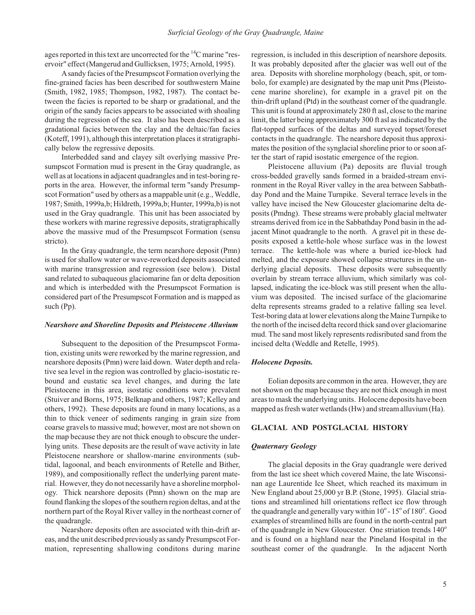ages reported in this text are uncorrected for the  $\rm ^{14}C$  marine "reservoir" effect (Mangerud and Gullicksen, 1975; Arnold, 1995).

A sandy facies of the Presumpscot Formation overlying the fine-grained facies has been described for southwestern Maine (Smith, 1982, 1985; Thompson, 1982, 1987). The contact between the facies is reported to be sharp or gradational, and the origin of the sandy facies appears to be associated with shoaling during the regression of the sea. It also has been described as a gradational facies between the clay and the deltaic/fan facies  $(Koteff, 1991)$ , although this interpretation places it stratigraphically below the regressive deposits.

Interbedded sand and clayey silt overlying massive Presumpscot Formation mud is present in the Gray quadrangle, as well as at locations in adjacent quadrangles and in test-boring reports in the area. However, the informal term "sandy Presumpscot Formation" used by others as a mappable unit (e.g., Weddle, 1987; Smith, 1999a,b; Hildreth, 1999a,b; Hunter, 1999a,b) is not used in the Gray quadrangle. This unit has been associated by these workers with marine regressive deposits, stratigraphically above the massive mud of the Presumpscot Formation (sensu stricto).

In the Gray quadrangle, the term nearshore deposit (Pmn) is used for shallow water or wave-reworked deposits associated with marine transgression and regression (see below). Distal sand related to subaqueous glaciomarine fan or delta deposition and which is interbedded with the Presumpscot Formation is considered part of the Presumpscot Formation and is mapped as such (Pp).

#### *Near shore and Shore line De pos its and Pleis to cene Al lu vium*

Subsequent to the deposition of the Presumpscot Formation, existing units were reworked by the marine regression, and near shore deposits (Pmn) were laid down. Water depth and relative sea level in the region was controlled by glacio-isostatic rebound and eustatic sea level changes, and during the late Pleistocene in this area, isostatic conditions were prevalent (Stuiver and Borns, 1975; Belknap and others, 1987; Kelley and others, 1992). These deposits are found in many locations, as a thin to thick veneer of sediments ranging in grain size from coarse gravels to massive mud; however, most are not shown on the map because they are not thick enough to obscure the underlying units. These deposits are the result of wave activity in late Pleistocene nearshore or shallow-marine environments (subtidal, lagoonal, and beach environments of Retelle and Bither, 1989), and compositionally reflect the underlying parent material. However, they do not necessarily have a shoreline morphology. Thick nearshore deposits (Pmn) shown on the map are found flanking the slopes of the southern region deltas, and at the northern part of the Royal River valley in the northeast corner of the quadrangle.

Nearshore deposits often are associated with thin-drift areas, and the unit described previously as sandy Presumpscot Formation, representing shallowing conditons during marine regression, is included in this description of nearshore deposits. It was probably deposited after the glacier was well out of the area. Deposits with shoreline morphology (beach, spit, or tombolo, for example) are designated by the map unit Pms (Pleistocene marine shoreline), for example in a gravel pit on the thin-drift upland (Ptd) in the southeast corner of the quadrangle. This unit is found at approximately 280 ft asl, close to the marine limit, the latter being approximately 300 ft asl as indicated by the flat-topped surfaces of the deltas and surveyed topset/foreset contacts in the quadrangle. The near shore deposit thus approximates the position of the synglacial shoreline prior to or soon after the start of rapid isostatic emergence of the region.

Pleistocene alluvium (Pa) deposits are fluvial trough cross-bedded gravelly sands formed in a braided-stream environment in the Royal River valley in the area between Sabbathday Pond and the Maine Turnpike. Several terrace levels in the valley have incised the New Gloucester glaciomarine delta deposits (Pmdng). These streams were probably glacial meltwater streams derived from ice in the Sabbathday Pond basin in the adjacent Minot quadrangle to the north. A gravel pit in these deposits exposed a kettle-hole whose surface was in the lowest terrace. The kettle-hole was where a buried ice-block had melted, and the exposure showed collapse structures in the underlying glacial deposits. These deposits were subsequently overlain by stream terrace alluvium, which similarly was collapsed, indicating the ice-block was still present when the alluvium was deposited. The incised surface of the glaciomarine delta represents streams graded to a relative falling sea level. Test-boring data at lower elevations along the Maine Turnpike to the north of the incised delta record thick sand over glaciomarine mud. The sand most likely represents redisributed sand from the incised delta (Weddle and Retelle, 1995).

## **Holocene Deposits.**

Eolian deposits are common in the area. However, they are not shown on the map because they are not thick enough in most areas to mask the underlying units. Holocene deposits have been mapped as fresh water wetlands (Hw) and stream alluvium (Ha).

# **GLACIAL AND POSTGLACIAL HISTORY**

#### *Qua ter nary Ge ol ogy*

The glacial deposits in the Gray quadrangle were derived from the last ice sheet which covered Maine, the late Wisconsinan age Laurentide Ice Sheet, which reached its maximum in New England about 25,000 yr B.P. (Stone, 1995). Glacial striations and streamlined hill orientations reflect ice flow through the quadrangle and generally vary within  $10^{\circ}$  -  $15^{\circ}$  of  $180^{\circ}$ . Good examples of streamlined hills are found in the north-central part of the quadrangle in New Gloucester. One striation trends  $140^\circ$ and is found on a highland near the Pineland Hospital in the southeast corner of the quadrangle. In the adjacent North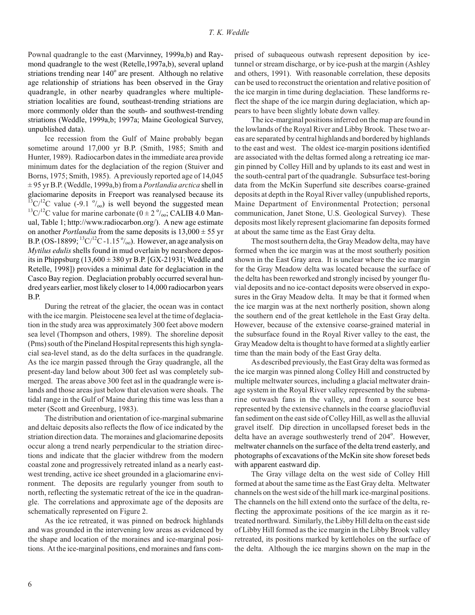Pownal quadrangle to the east (Marvinney, 1999a,b) and Raymond quadrangle to the west (Retelle,1997a,b), several upland striations trending near 140° are present. Although no relative age relationship of striations has been observed in the Gray quadrangle, in other nearby quadrangles where multiplestriation localities are found, southeast-trending striations are more commonly older than the south- and southwest-trending striations (Weddle, 1999a,b; 1997a; Maine Geological Survey, unpublished data).

Ice recession from the Gulf of Maine probably began sometime around 17,000 yr B.P. (Smith, 1985; Smith and Hunter, 1989). Radiocarbon dates in the immediate area provide minimum dates for the deglaciation of the region (Stuiver and Borns, 1975; Smith, 1985). A previously reported age of 14,045  $\pm$  95 yr B.P. (Weddle, 1999a,b) from a *Portlandia arctica* shell in glaciomarine deposits in Freeport was reanalysed because its  $^{13}$ C/<sup>12</sup>C value (-9.1  $^{0}$ /<sub>00</sub>) is well beyond the suggested mean  $13^1C^{12}C$  value for marine carbonate ( $0 \pm 2 \degree/_{00}$ ; CALIB 4.0 Manual, Table 1; http://www.radiocarbon.org/). A new age estimate on another *Portlandia* from the same deposits is  $13,000 \pm 55$  yr B.P. (OS-18899;  ${}^{13}C/{}^{12}C$  -1.15 ${}^{0}/_{00}$ ). However, an age analysis on *Mytilus edulis* shells found in mud overlain by nearshore deposits in Phippsburg  $(13,600 \pm 380 \text{ yr B.P.}$  [GX-21931; Weddle and Retelle, 1998]) provides a minimal date for deglaciation in the Casco Bay region. Deglaciation probably occurred several hundred years earlier, most likely closer to 14,000 radiocarbon years B.P.

During the retreat of the glacier, the ocean was in contact with the ice margin. Pleistocene sea level at the time of deglaciation in the study area was approximately 300 feet above modern sea level (Thompson and others, 1989). The shoreline deposit (Pms) south of the Pineland Hospital represents this high synglacial sea-level stand, as do the delta surfaces in the quadrangle. As the ice margin passed through the Gray quadrangle, all the present-day land below about 300 feet asl was completely submerged. The areas above 300 feet asl in the quadrangle were islands and those areas just below that elevation were shoals. The tidal range in the Gulf of Maine during this time was less than a meter (Scott and Greenburg, 1983).

The distribution and orientation of ice-marginal submarine and deltaic deposits also reflects the flow of ice indicated by the striation direction data. The moraines and glaciomarine deposits occur along a trend nearly perpendicular to the striation directions and indicate that the glacier with drew from the modern coastal zone and progressively retreated inland as a nearly eastwest trending, active ice sheet grounded in a glaciomarine environment. The deposits are regularly younger from south to north, reflecting the systematic retreat of the ice in the quadrangle. The correlations and approximate age of the deposits are schematically represented on Figure 2.

As the ice retreated, it was pinned on bedrock highlands and was grounded in the intervening low areas as evidenced by the shape and location of the moraines and ice-marginal positions. At the ice-marginal positions, end moraines and fans comprised of subaqueous outwash represent deposition by icetunnel or stream discharge, or by ice-push at the margin (Ashley and others, 1991). With reasonable correlation, these deposits can be used to reconstruct the orientation and relative position of the ice margin in time during deglaciation. These land forms reflect the shape of the ice margin during deglaciation, which appears to have been slightly lobate down valley.

The ice-marginal positions inferred on the map are found in the low lands of the Royal River and Libby Brook. These two ar eas are separated by central highlands and bordered by highlands to the east and west. The oldest ice-margin positions identified are associated with the deltas formed along a retreating ice margin pinned by Colley Hill and by uplands to its east and west in the south-central part of the quadrangle. Subsurface test-boring data from the McKin Superfund site describes coarse-grained deposits at depth in the Royal River valley (unpublished reports, Maine Department of Environmental Protection; personal communication, Janet Stone, U.S. Geological Survey). These deposits most likely represent glaciomarine fan deposits formed at about the same time as the East Gray delta.

The most southern delta, the Gray Meadow delta, may have formed when the ice margin was at the most southerly position shown in the East Gray area. It is unclear where the ice margin for the Gray Meadow delta was located because the surface of the delta has been reworked and strongly incised by younger fluvial deposits and no ice-contact deposits were observed in exposures in the Gray Meadow delta. It may be that it formed when the ice margin was at the next northerly position, shown along the southern end of the great kettlehole in the East Gray delta. However, because of the extensive coarse-grained material in the subsurface found in the Royal River valley to the east, the Gray Meadow delta is thought to have formed at a slightly ear lier time than the main body of the East Gray delta.

As described previously, the East Gray delta was formed as the ice margin was pinned along Colley Hill and constructed by multiple meltwater sources, including a glacial meltwater drainage system in the Royal River valley represented by the submarine out wash fans in the valley, and from a source best represented by the extensive channels in the coarse glaciofluvial fan sediment on the east side of Colley Hill, as well as the alluvial gravel itself. Dip direction in uncollapsed foreset beds in the delta have an average southwesterly trend of 204°. However, meltwater channels on the surface of the delta trend easterly, and photographs of excavations of the McKin site show foreset beds with apparent eastward dip.

The Gray village delta on the west side of Colley Hill formed at about the same time as the East Gray delta. Meltwater channels on the west side of the hill mark ice-marginal positions. The channels on the hill extend onto the surface of the delta, reflecting the approximate positions of the ice margin as it retreated northward. Similarly, the Libby Hill delta on the east side of Libby Hill formed as the ice margin in the Libby Brook valley retreated, its positions marked by kettleholes on the surface of the delta. Although the ice margins shown on the map in the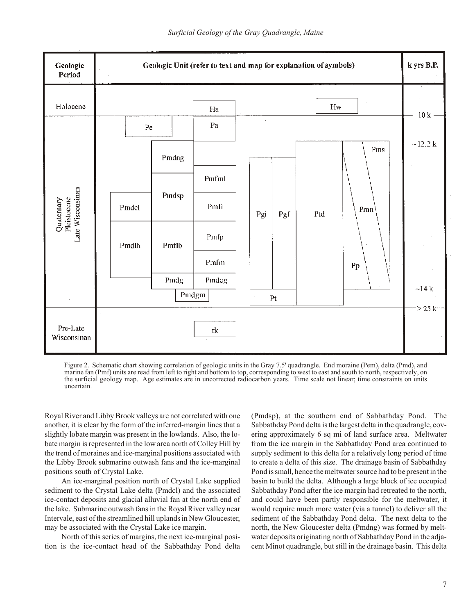

Figure 2. Schematic chart showing correlation of geologic units in the Gray 7.5' quadrangle. End moraine (Pem), delta (Pmd), and marine fan (Pmf) units are read from left to right and bottom to top, corresponding to west to east and south to north, respectively, on the surficial geology map. Age estimates are in uncorrected radiocarbon years. Time scale not linear; time constraints on units uncertain.

Royal River and Libby Brook valleys are not correlated with one another, it is clear by the form of the inferred-margin lines that a slightly lobate margin was present in the low lands. Also, the lobate margin is represented in the low area north of Colley Hill by the trend of moraines and ice-marginal positions associated with the Libby Brook submarine outwash fans and the ice-marginal positions south of Crystal Lake.

An ice-marginal position north of Crystal Lake supplied sediment to the Crystal Lake delta (Pmdcl) and the associated ice-contact deposits and glacial alluvial fan at the north end of the lake. Submarine outwash fans in the Royal River valley near Intervale, east of the streamlined hill uplands in New Gloucester, may be associated with the Crystal Lake ice margin.

North of this series of margins, the next ice-marginal position is the ice-contact head of the Sabbathday Pond delta (Pmdsp), at the southern end of Sabbath day Pond. The Sabbathday Pond delta is the largest delta in the quadrangle, covering approximately 6 sq mi of land surface area. Meltwater from the ice margin in the Sabbathday Pond area continued to supply sediment to this delta for a relatively long period of time to create a delta of this size. The drainage basin of Sabbathday Pond is small, hence the meltwater source had to be present in the basin to build the delta. Although a large block of ice occupied Sabbathday Pond after the ice margin had retreated to the north, and could have been partly responsible for the meltwater, it would require much more water (via a tunnel) to deliver all the sediment of the Sabbathday Pond delta. The next delta to the north, the New Gloucester delta (Pmdng) was formed by meltwater deposits originating north of Sabbathday Pond in the adjacent Minot quadrangle, but still in the drainage basin. This delta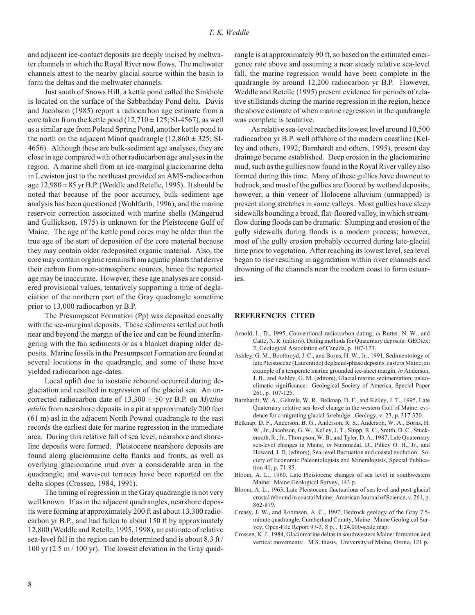and adjacent ice-contact deposits are deeply incised by meltwater channels in which the Royal River now flows. The meltwater channels attest to the nearby glacial source within the basin to form the deltas and the meltwater channels.

Just south of Snows Hill, a kettle pond called the Sinkhole is located on the surface of the Sabbathday Pond delta. Davis and Jacobson (1985) report a radiocarbon age estimate from a core taken from the kettle pond  $(12,710 \pm 125; SI-4567)$ , as well as a similar age from Poland Spring Pond, another kettle pond to the north on the adjacent Minot quadrangle  $(12,860 \pm 325; S1$ 4656). Although these are bulk-sediment age analyses, they are close in age compared with other radiocarbon age analyses in the region. A marine shell from an ice-marginal glaciomarine delta in Lewiston just to the northeast provided an AMS-radiocarbon age  $12,980 \pm 85$  yr B.P. (Weddle and Retelle, 1995). It should be noted that because of the poor accuracy, bulk sediment age analysis has been questioned (Wohlfarth, 1996), and the marine reservoir correction associated with marine shells (Mangerud and Gullickson, 1975) is unknown for the Pleistocene Gulf of Maine. The age of the kettle pond cores may be older than the true age of the start of deposition of the core material because they may contain older redeposited organic material. Also, the core may contain organic remains from aquatic plants that derive their carbon from non-atmospheric sources, hence the reported age may be inaccurate. However, these age analyses are considered provisional values, tentatively supporting a time of deglaciation of the northern part of the Gray quadrangle sometime prior to 13,000 radiocarbon yr B.P.

The Presumpscot Formation (Pp) was deposited coevally with the ice-marginal deposits. These sediments settled out both near and beyond the margin of the ice and can be found interfingering with the fan sediments or as a blanket draping older deposits. Marine fossils in the Presumpscot Formation are found at several locations in the quadrangle, and some of these have yielded radiocarbon age-dates.

Local uplift due to isostatic rebound occurred during deglaciation and resulted in regression of the glacial sea. An uncorrected radiocarbon date of  $13,300 \pm 50$  yr B.P. on *Mytilus edulis* from nearshore deposits in a pit at approximately 200 feet  $(61 \text{ m})$  asl in the adjacent North Pownal quadrangle to the east records the earliest date for marine regression in the immediate area. During this relative fall of sea level, near shore and shoreline deposits were formed. Pleistocene nearshore deposits are found along glaciomarine delta flanks and fronts, as well as overlying glaciomarine mud over a considerable area in the quadrangle; and wave-cut terraces have been reported on the delta slopes (Crossen, 1984, 1991).

The timing of regression in the Gray quadrangle is not very well known. If as in the adjacent quadrangles, nearshore deposits were forming at approximately 200 ft asl about 13,300 radiocarbon yr B.P., and had fallen to about 150 ft by approximately 12,800 (Weddle and Retelle, 1995, 1998), an estimate of relative sea-level fall in the region can be determined and is about 8.3 ft/ 100 yr  $(2.5 \text{ m} / 100 \text{ yr})$ . The lowest elevation in the Gray quadrangle is at approximately 90 ft, so based on the estimated emergence rate above and assuming a near steady relative sea-level fall, the marine regression would have been complete in the quadrangle by around 12,200 radiocarbon yr B.P. However, Weddle and Retelle (1995) present evidence for periods of relative still stands during the marine regression in the region, hence the above estimate of when marine regression in the quadrangle was complete is tentative.

As relative sea-level reached its lowest level around 10,500 radiocarbon yr B.P. well offshore of the modern coastline (Kelley and others, 1992; Barnhardt and others, 1995), present day drainage became established. Deep erosion in the glaciomarine mud, such as the gullies now found in the Royal River valley also formed during this time. Many of these gullies have downcut to bedrock, and most of the gullies are floored by wetland deposits; however, a thin veneer of Holocene alluvium (unmapped) is present along stretches in some valleys. Most gullies have steep sidewalls bounding a broad, flat-floored valley, in which streamflow during floods can be dramatic. Slumping and erosion of the gully sidewalls during floods is a modern process; however, most of the gully erosion probably occurred during late-glacial time prior to vegetation. After reaching its lowest level, sea level began to rise resulting in aggradation within river channels and drowning of the channels near the modern coast to form estuaries.

# **REFERENCES CITED**

- Arnold, L. D., 1995, Conventional radiocarbon dating, *in* Rutter, N. W., and Catto, N. R. (editors), Dating methods for Quaternary deposits: GEOtext 2, Geological Association of Canada, p. 107-123.
- Ashley, G. M., Boothroyd, J. C., and Borns, H. W., Jr., 1991, Sedimentology of late Pleistocene (Laurentide) deglacial-phase deposits, eastern Maine; an example of a temperate marine grounded ice-sheet margin, *in* Anderson, J. B., and Ashley, G. M. (editors), Glacial marine sedimentation; paleoclimatic significance: Geological Society of America, Special Paper 261, p. 107-125.
- Barnhardt, W. A., Gehrels, W. R., Belknap, D. F., and Kelley, J. T., 1995, Late Quaternary relative sea-level change in the western Gulf of Maine: evidence for a migrating glacial forebulge: Geology, v. 23, p. 317-320.
- Belknap, D. F., Anderson, B. G., Anderson, R. S., Anderson, W. A., Borns, H. W., Jr., Jacobson, G. W., Kelley, J. T., Shipp, R. C., Smith, D. C., Stuckenrath, R., Jr., Thompson, W. B., and Tyler, D. A., 1987, Late Quaternary sea-level changes in Maine, *in* Nummedal, D., Pilkey O. H., Jr., and Howard, J. D. (editors), Sea-level fluctuation and coastal evolution: Society of Economic Paleontologists and Mineralogists, Special Publication 41, p. 71-85.
- Bloom, A. L., 1960, Late Pleistocene changes of sea level in southwestern Maine: Maine Geological Survey, 143 p.
- Bloom, A. L., 1963, Late Pleistocene fluctuations of sea level and post-glacial crustal rebound in coastal Maine: American Journal of Science, v. 261, p. 862- 879.
- Creasy, J. W., and Robinson, A. C., 1997, Bedrock geology of the Gray 7.5minute quadrangle, Cumberland County, Maine: Maine Geological Survey, Open-File Report 97-3, 8 p., 1:24,000-scale map.
- Crossen, K. J., 1984, Glaciomarine deltas in southwestern Maine: formation and vertical movements: M.S. thesis, University of Maine, Orono, 121 p.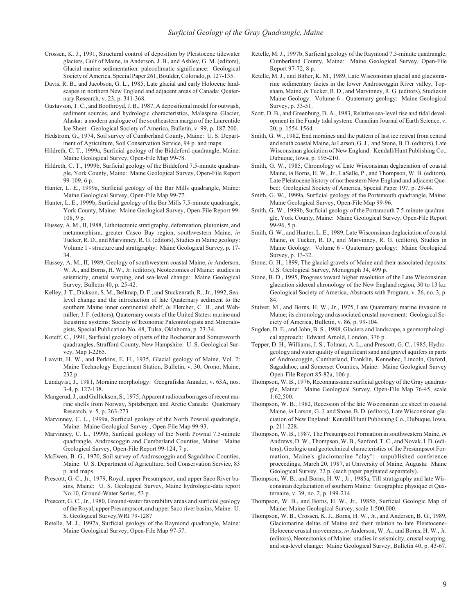- Crossen, K. J., 1991, Structural control of deposition by Pleistocene tidewater glaciers, Gulf of Maine, *in* Anderson, J. B., and Ashley, G. M. (editors), Glacial marine sedimentation: paleoclimatic significance: Geological Society of America, Special Paper 261, Boulder, Colorado, p. 127-135.
- Davis, R. B., and Jacobson, G. L., 1985, Late glacial and early Holocene landscapes in northern New England and adjacent areas of Canada: Quaternary Research, v. 23, p. 341-368.
- Gustavson, T. C., and Boothroyd, J. B., 1987, A depositional model for outwash, sediment sources, and hydrologic characteristics, Malaspina Glacier, Alaska: a modern analogue of the southeastern margin of the Laurentide Ice Sheet: Geological Society of America, Bulletin, v. 99, p. 187-200.
- Hedstrom, G., 1974, Soil survey of Cumberland County, Maine: U. S. Department of Agriculture, Soil Conservation Service, 94 p. and maps.
- Hildreth, C. T., 1999a, Surficial geology of the Biddeford quadrangle, Maine: Maine Geological Survey, Open-File Map 99-78.
- Hildreth, C. T., 1999b, Surficial geology of the Biddeford 7.5-minute quadrangle, York County, Maine: Maine Geological Survey, Open-File Report 99-109, 6 p.
- Hunter, L. E., 1999a, Surficial geology of the Bar Mills quadrangle, Maine: Maine Geological Survey, Open-File Map 99-77.
- Hunter, L. E., 1999b, Surficial geology of the Bar Mills 7.5-minute quadrangle, York County, Maine: Maine Geological Survey, Open-File Report 99-108, 9 p.
- Hussey, A. M., II, 1988, Lithotectonic stratigraphy, deformation, plutonism, and metamorphism, greater Casco Bay region, southwestern Maine, in Tucker, R. D., and Marvinney, R. G. (editors), Studies in Maine geology: Volume 1 - structure and stratigraphy: Maine Geological Survey, p. 17-34.
- Hussey, A. M., II, 1989, Geology of southwestern coastal Maine, *in* Anderson, W. A., and Borns, H. W., Jr. (editors), Neotectonics of Maine: studies in seismicity, crustal warping, and sea-level change: Maine Geological Survey, Bulletin 40, p. 25-42.
- Kelley, J. T., Dickson, S. M., Belknap, D. F., and Stuckenrath, R., Jr., 1992, Sealevel change and the introduction of late Quaternary sediment to the southern Maine inner continental shelf, in Fletcher, C. H., and Wehmiller, J. F. (editors), Quaternary coasts of the United States: marine and lacustrine systems: Society of Economic Paleontologists and Mineralogists, Special Publication No. 48, Tulsa, Oklahoma, p. 23-34.
- Koteff, C., 1991, Surficial geology of parts of the Rochester and Somersworth quadrangles, Strafford County, New Hampshire: U.S. Geological Survey, Map I-2265.
- Leavitt, H. W., and Perkins, E. H., 1935, Glacial geology of Maine, Vol. 2: Maine Technology Experiment Station, Bulletin, v. 30, Orono, Maine, 232 p.
- Lundqvist, J., 1981, Moraine morphology: Geografiska Annaler, v. 63A, nos. 3-4, p. 127- 138.
- Mangerud, J., and Gullickson, S., 1975, Apparent radiocarbon ages of recent marine shells from Norway, Spitzbergen and Arctic Canada: Quaternary Research, v. 5, p. 263-273.
- Marvinney, C. L., 1999a, Surficial geology of the North Pownal quadrangle, Maine: Maine Geological Survey, Open-File Map 99-93.
- Marvinney, C. L., 1999b, Surficial geology of the North Pownal 7.5-minute quadrangle, Androscoggin and Cumberland Counties, Maine: Maine Geological Survey, Open-File Report 99-124, 7 p.
- McEwen, B. G., 1970, Soil survey of Androscoggin and Sagadahoc Counties, Maine: U. S. Department of Agriculture, Soil Conservation Service, 83 p. and maps.
- Prescott, G. C., Jr., 1979, Royal, upper Presumpscot, and upper Saco River basins, Maine: U. S. Geological Survey, Maine hydrologic-data report No.10, Ground-Water Series, 53 p.
- Prescott, G. C., Jr., 1980, Ground-water favorability areas and surficial geology of the Royal, upper Presumpscot, and upper Saco river basins, Maine: U. S. Geological Survey, WRI 79-1287
- Retelle, M. J., 1997a, Surficial geology of the Raymond quadrangle, Maine: Maine Geological Survey, Open-File Map 97-57.
- Retelle, M. J., 1997b, Surficial geology of the Raymond 7.5-minute quadrangle, Cumberland County, Maine: Maine Geological Survey, Open-File Report 97-72, 8 p.
- Retelle, M. J., and Bither, K. M., 1989, Late Wisconsinan glacial and glaciomarine sedimentary facies in the lower Androscoggin River valley, Topsham, Maine, in Tucker, R. D., and Marvinney, R. G. (editors), Studies in Maine Geology: Volume 6 - Quaternary geology: Maine Geological Survey, p. 33-51.
- Scott, D. B., and Greenburg, D. A., 1983, Relative sea-level rise and tidal development in the Fundy tidal system: Canadian Journal of Earth Science, v. 20, p. 1554-1564.
- Smith, G. W., 1982, End moraines and the pattern of last ice retreat from central and south coastal Maine, in Larson, G. J., and Stone, B. D. (editors), Late Wisconsinan glaciation of New England: Kendall/Hunt Publishing Co., Dubuque, Iowa, p. 195-210.
- Smith, G. W., 1985, Chronology of Late Wisconsinan deglaciation of coastal Maine, in Borns, H. W., Jr., LaSalle, P., and Thompson, W. B. (editors), Late Pleistocene history of northeastern New England and adjacent Quebec: Geological Society of America, Special Paper 197, p. 29-44.
- Smith, G. W., 1999a, Surficial geology of the Portsmouth quadrangle, Maine: Maine Geological Survey, Open-File Map 99-96.
- Smith, G. W., 1999b, Surficial geology of the Portsmouth 7.5-minute quadrangle, York County, Maine: Maine Geological Survey, Open-File Report 99-96, 5 p.
- Smith, G. W., and Hunter, L. E., 1989, Late Wisconsinan deglaciation of coastal Maine, *in* Tucker, R. D., and Marvinney, R. G. (editors), Studies in Maine Geology: Volume 6 - Quaternary geology: Maine Geological Survey, p. 13-32.
- Stone, G. H., 1899, The glacial gravels of Maine and their associated deposits: U.S. Geological Survey, Monograph 34, 499 p.
- Stone, B. D., 1995, Progress toward higher resolution of the Late Wisconsinan glaciation sidereal chronology of the New England region, 30 to 13 ka: Geological Society of America, Abstracts with Program, v. 26, no. 3, p. 84.
- Stuiver, M., and Borns, H. W., Jr., 1975, Late Quaternary marine invasion in Maine; its chronology and associated crustal movement: Geological Society of America, Bulletin, v. 86, p. 99-104.
- Sugden, D. E., and John, B. S., 1988, Glaciers and landscape, a geomorphological approach: Edward Arnold, London, 376 p.
- Tepper, D. H., Williams, J. S., Tolman, A. L., and Prescott, G. C., 1985, Hydrogeology and water quality of significant sand and gravel aquifers in parts of Androscoggin, Cumberland, Franklin, Kennebec, Lincoln, Oxford, Sagadahoc, and Somerset Counties, Maine: Maine Geological Survey Open-File Report 85-82a, 106 p.
- Thompson, W. B., 1976, Reconnaissance surficial geology of the Gray quadrangle, Maine: Maine Geological Survey, Open-File Map 76-45, scale 1:62,500.
- Thompson, W. B., 1982, Recession of the late Wisconsinan ice sheet in coastal Maine, *in* Larson, G. J. and Stone, B. D. (editors), Late Wisconsinan glaciation of New England: Kendall/Hunt Publishing Co., Dubuque, Iowa, p. 211-228.
- Thompson, W. B., 1987, The Presumpscot Formation in southwestern Maine, in Andrews, D. W., Thompson, W. B., Sanford, T. C., and Novak, I. D. (editors), Geologic and geotechnical characteristics of the Presumpscot Formation, Maine's glaciomarine "clay": unpublished conference proceedings, March 20, 1987, at University of Maine, Augusta: Maine Geological Survey, 22 p. (each paper paginated separately).
- Thompson, W. B., and Borns, H. W., Jr., 1985a, Till stratigraphy and late Wisconsinan deglaciation of southern Maine: Geographie physique et Quaternaire, v. 39, no. 2, p. 199-214.
- Thompson, W. B., and Borns, H. W., Jr., 1985b, Surficial Geologic Map of Maine: Maine Geological Survey, scale 1:500,000.
- Thompson, W. B., Crossen, K. J., Borns, H. W., Jr., and Andersen, B. G., 1989, Glaciomarine deltas of Maine and their relation to late Pleistocene-Holocene crustal movements, *in* Anderson, W. A., and Borns, H. W., Jr. (editors), Neotectonics of Maine: studies in seismicity, crustal warping, and sea-level change: Maine Geological Survey, Bulletin 40, p. 43-67.